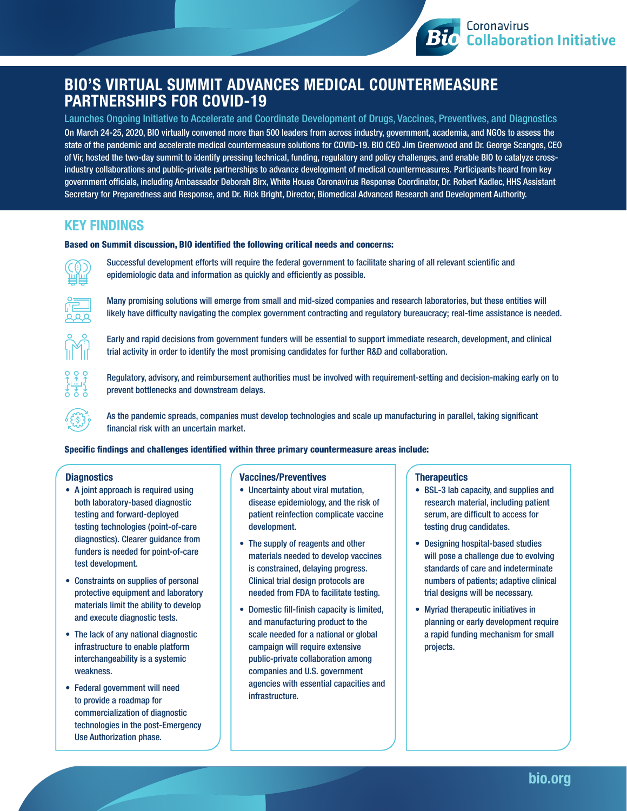# BIO'S VIRTUAL SUMMIT ADVANCES MEDICAL COUNTERMEASURE PARTNERSHIPS FOR COVID-19

On March 24-25, 2020, BIO virtually convened more than 500 leaders from across industry, government, academia, and NGOs to assess the state of the pandemic and accelerate medical countermeasure solutions for COVID-19. BIO CEO Jim Greenwood and Dr. George Scangos, CEO of Vir, hosted the two-day summit to identify pressing technical, funding, regulatory and policy challenges, and enable BIO to catalyze crossindustry collaborations and public-private partnerships to advance development of medical countermeasures. Participants heard from key government officials, including Ambassador Deborah Birx, White House Coronavirus Response Coordinator, Dr. Robert Kadlec, HHS Assistant Secretary for Preparedness and Response, and Dr. Rick Bright, Director, Biomedical Advanced Research and Development Authority. Launches Ongoing Initiative to Accelerate and Coordinate Development of Drugs, Vaccines, Preventives, and Diagnostics

## KEY FINDINGS

### Based on Summit discussion, BIO identified the following critical needs and concerns:



Successful development efforts will require the federal government to facilitate sharing of all relevant scientific and epidemiologic data and information as quickly and efficiently as possible.



Many promising solutions will emerge from small and mid-sized companies and research laboratories, but these entities will likely have difficulty navigating the complex government contracting and regulatory bureaucracy; real-time assistance is needed.



Early and rapid decisions from government funders will be essential to support immediate research, development, and clinical trial activity in order to identify the most promising candidates for further R&D and collaboration.



Regulatory, advisory, and reimbursement authorities must be involved with requirement-setting and decision-making early on to prevent bottlenecks and downstream delays.

As the pandemic spreads, companies must develop technologies and scale up manufacturing in parallel, taking significant financial risk with an uncertain market.

### Specific findings and challenges identified within three primary countermeasure areas include:

## **Diagnostics**

- A joint approach is required using both laboratory-based diagnostic testing and forward-deployed testing technologies (point-of-care diagnostics). Clearer guidance from funders is needed for point-of-care test development.
- Constraints on supplies of personal protective equipment and laboratory materials limit the ability to develop and execute diagnostic tests.
- The lack of any national diagnostic infrastructure to enable platform interchangeability is a systemic weakness.
- Federal government will need to provide a roadmap for commercialization of diagnostic technologies in the post-Emergency Use Authorization phase.

### Vaccines/Preventives

- Uncertainty about viral mutation, disease epidemiology, and the risk of patient reinfection complicate vaccine development.
- The supply of reagents and other materials needed to develop vaccines is constrained, delaying progress. Clinical trial design protocols are needed from FDA to facilitate testing.
- Domestic fill-finish capacity is limited, and manufacturing product to the scale needed for a national or global campaign will require extensive public-private collaboration among companies and U.S. government agencies with essential capacities and infrastructure.

#### **Therapeutics**

• BSL-3 lab capacity, and supplies and research material, including patient serum, are difficult to access for testing drug candidates.

Coronavirus

**Bio** Collaboration Initiative

- Designing hospital-based studies will pose a challenge due to evolving standards of care and indeterminate numbers of patients; adaptive clinical trial designs will be necessary.
- Myriad therapeutic initiatives in planning or early development require a rapid funding mechanism for small projects.